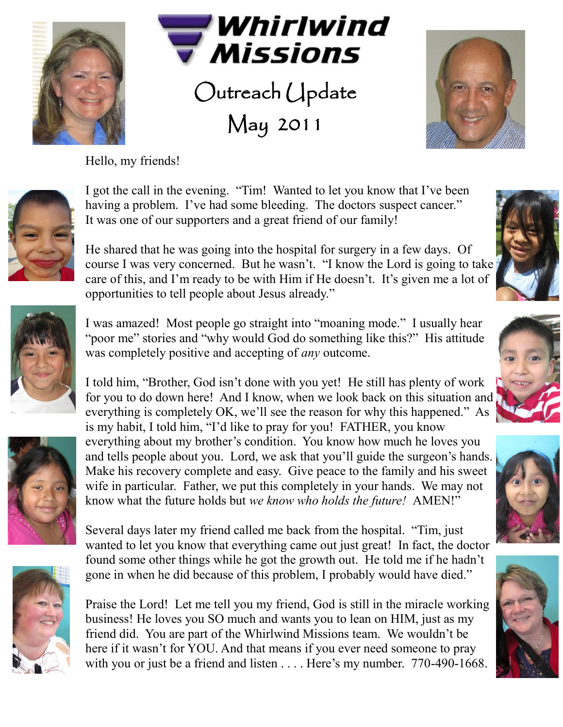



Outreach Update May 2011



Hello, my friends!



I got the call in the evening. "Tim! Wanted to let you know that I've been having a problem. I've had some bleeding. The doctors suspect cancer." It was one of our supporters and a great friend of our family!

He shared that he was going into the hospital for surgery in a few days. Of course I was very concerned. But he wasn't. "I know the Lord is going to take care of this, and I'm ready to be with Him if He doesn't. It's given me a lot of opportunities to tell people about Jesus already."





I was amazed! Most people go straight into "moaning mode." I usually hear "poor me" stories and "why would God do something like this?" His attitude was completely positive and accepting of *any* outcome.

I told him, "Brother, God isn't done with you yet! He still has plenty of work for you to do down here! And I know, when we look back on this situation and everything is completely OK, we'll see the reason for why this happened." As is my habit, I told him, "I'd like to pray for you! FATHER, you know everything about my brother's condition. You know how much he loves you

and tells people about you. Lord, we ask that you'll guide the surgeon's hands. Make his recovery complete and easy. Give peace to the family and his sweet wife in particular. Father, we put this completely in your hands. We may not know what the future holds but *we know who holds the future!* AMEN!"

Several days later my friend called me back from the hospital. "Tim, just wanted to let you know that everything came out just great! In fact, the doctor found some other things while he got the growth out. He told me if he hadn't gone in when he did because of this problem, I probably would have died."

Praise the Lord! Let me tell you my friend, God is still in the miracle working business! He loves you SO much and wants you to lean on HIM, just as my friend did. You are part of the Whirlwind Missions team. We wouldn't be here if it wasn't for YOU. And that means if you ever need someone to pray with you or just be a friend and listen . . . . Here's my number. 770-490-1668.